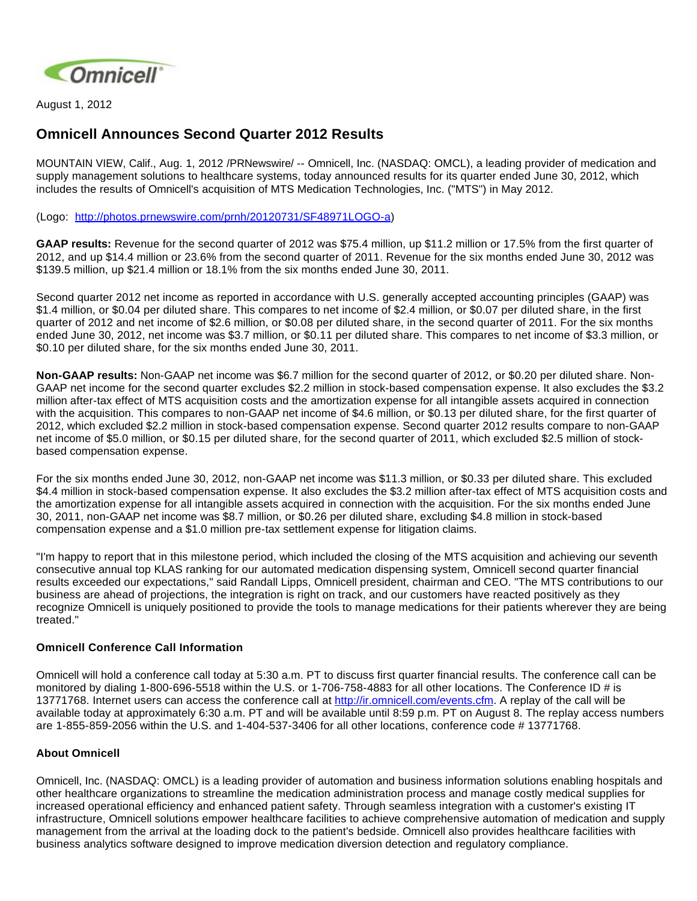

August 1, 2012

# **Omnicell Announces Second Quarter 2012 Results**

MOUNTAIN VIEW, Calif., Aug. 1, 2012 /PRNewswire/ -- Omnicell, Inc. (NASDAQ: OMCL), a leading provider of medication and supply management solutions to healthcare systems, today announced results for its quarter ended June 30, 2012, which includes the results of Omnicell's acquisition of MTS Medication Technologies, Inc. ("MTS") in May 2012.

(Logo: <http://photos.prnewswire.com/prnh/20120731/SF48971LOGO-a>)

**GAAP results:** Revenue for the second quarter of 2012 was \$75.4 million, up \$11.2 million or 17.5% from the first quarter of 2012, and up \$14.4 million or 23.6% from the second quarter of 2011. Revenue for the six months ended June 30, 2012 was \$139.5 million, up \$21.4 million or 18.1% from the six months ended June 30, 2011.

Second quarter 2012 net income as reported in accordance with U.S. generally accepted accounting principles (GAAP) was \$1.4 million, or \$0.04 per diluted share. This compares to net income of \$2.4 million, or \$0.07 per diluted share, in the first quarter of 2012 and net income of \$2.6 million, or \$0.08 per diluted share, in the second quarter of 2011. For the six months ended June 30, 2012, net income was \$3.7 million, or \$0.11 per diluted share. This compares to net income of \$3.3 million, or \$0.10 per diluted share, for the six months ended June 30, 2011.

**Non-GAAP results:** Non-GAAP net income was \$6.7 million for the second quarter of 2012, or \$0.20 per diluted share. Non-GAAP net income for the second quarter excludes \$2.2 million in stock-based compensation expense. It also excludes the \$3.2 million after-tax effect of MTS acquisition costs and the amortization expense for all intangible assets acquired in connection with the acquisition. This compares to non-GAAP net income of \$4.6 million, or \$0.13 per diluted share, for the first quarter of 2012, which excluded \$2.2 million in stock-based compensation expense. Second quarter 2012 results compare to non-GAAP net income of \$5.0 million, or \$0.15 per diluted share, for the second quarter of 2011, which excluded \$2.5 million of stockbased compensation expense.

For the six months ended June 30, 2012, non-GAAP net income was \$11.3 million, or \$0.33 per diluted share. This excluded \$4.4 million in stock-based compensation expense. It also excludes the \$3.2 million after-tax effect of MTS acquisition costs and the amortization expense for all intangible assets acquired in connection with the acquisition. For the six months ended June 30, 2011, non-GAAP net income was \$8.7 million, or \$0.26 per diluted share, excluding \$4.8 million in stock-based compensation expense and a \$1.0 million pre-tax settlement expense for litigation claims.

"I'm happy to report that in this milestone period, which included the closing of the MTS acquisition and achieving our seventh consecutive annual top KLAS ranking for our automated medication dispensing system, Omnicell second quarter financial results exceeded our expectations," said Randall Lipps, Omnicell president, chairman and CEO. "The MTS contributions to our business are ahead of projections, the integration is right on track, and our customers have reacted positively as they recognize Omnicell is uniquely positioned to provide the tools to manage medications for their patients wherever they are being treated."

# **Omnicell Conference Call Information**

Omnicell will hold a conference call today at 5:30 a.m. PT to discuss first quarter financial results. The conference call can be monitored by dialing 1-800-696-5518 within the U.S. or 1-706-758-4883 for all other locations. The Conference ID # is 13771768. Internet users can access the conference call at [http://ir.omnicell.com/events.cfm.](http://ir.omnicell.com/events.cfm) A replay of the call will be available today at approximately 6:30 a.m. PT and will be available until 8:59 p.m. PT on August 8. The replay access numbers are 1-855-859-2056 within the U.S. and 1-404-537-3406 for all other locations, conference code # 13771768.

# **About Omnicell**

Omnicell, Inc. (NASDAQ: OMCL) is a leading provider of automation and business information solutions enabling hospitals and other healthcare organizations to streamline the medication administration process and manage costly medical supplies for increased operational efficiency and enhanced patient safety. Through seamless integration with a customer's existing IT infrastructure, Omnicell solutions empower healthcare facilities to achieve comprehensive automation of medication and supply management from the arrival at the loading dock to the patient's bedside. Omnicell also provides healthcare facilities with business analytics software designed to improve medication diversion detection and regulatory compliance.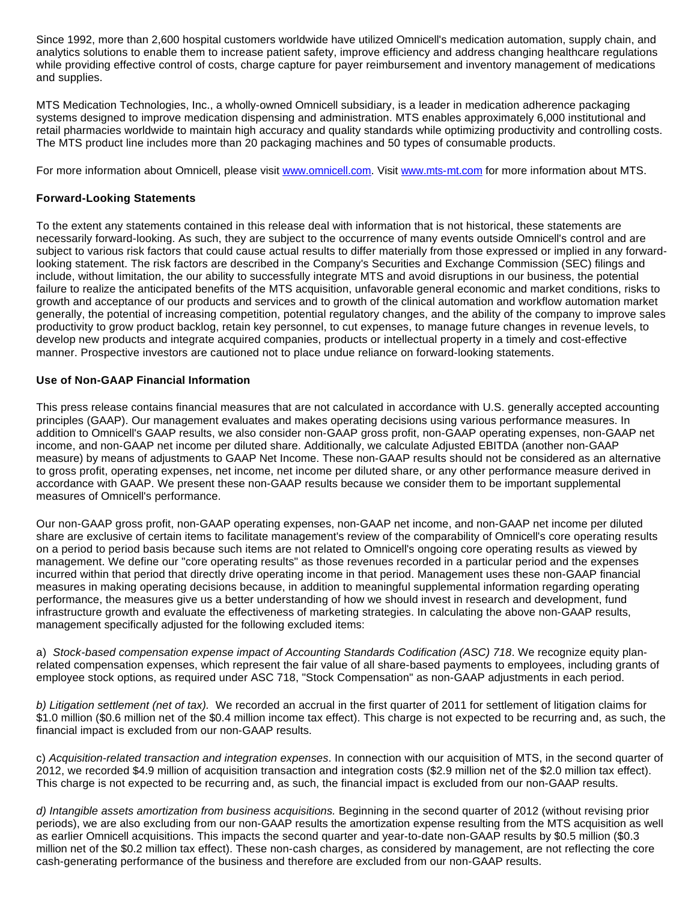Since 1992, more than 2,600 hospital customers worldwide have utilized Omnicell's medication automation, supply chain, and analytics solutions to enable them to increase patient safety, improve efficiency and address changing healthcare regulations while providing effective control of costs, charge capture for payer reimbursement and inventory management of medications and supplies.

MTS Medication Technologies, Inc., a wholly-owned Omnicell subsidiary, is a leader in medication adherence packaging systems designed to improve medication dispensing and administration. MTS enables approximately 6,000 institutional and retail pharmacies worldwide to maintain high accuracy and quality standards while optimizing productivity and controlling costs. The MTS product line includes more than 20 packaging machines and 50 types of consumable products.

For more information about Omnicell, please visit [www.omnicell.com](http://www.omnicell.com/). Visit [www.mts-mt.com](http://www.mts-mt.com/) for more information about MTS.

# **Forward-Looking Statements**

To the extent any statements contained in this release deal with information that is not historical, these statements are necessarily forward-looking. As such, they are subject to the occurrence of many events outside Omnicell's control and are subject to various risk factors that could cause actual results to differ materially from those expressed or implied in any forwardlooking statement. The risk factors are described in the Company's Securities and Exchange Commission (SEC) filings and include, without limitation, the our ability to successfully integrate MTS and avoid disruptions in our business, the potential failure to realize the anticipated benefits of the MTS acquisition, unfavorable general economic and market conditions, risks to growth and acceptance of our products and services and to growth of the clinical automation and workflow automation market generally, the potential of increasing competition, potential regulatory changes, and the ability of the company to improve sales productivity to grow product backlog, retain key personnel, to cut expenses, to manage future changes in revenue levels, to develop new products and integrate acquired companies, products or intellectual property in a timely and cost-effective manner. Prospective investors are cautioned not to place undue reliance on forward-looking statements.

# **Use of Non-GAAP Financial Information**

This press release contains financial measures that are not calculated in accordance with U.S. generally accepted accounting principles (GAAP). Our management evaluates and makes operating decisions using various performance measures. In addition to Omnicell's GAAP results, we also consider non-GAAP gross profit, non-GAAP operating expenses, non-GAAP net income, and non-GAAP net income per diluted share. Additionally, we calculate Adjusted EBITDA (another non-GAAP measure) by means of adjustments to GAAP Net Income. These non-GAAP results should not be considered as an alternative to gross profit, operating expenses, net income, net income per diluted share, or any other performance measure derived in accordance with GAAP. We present these non-GAAP results because we consider them to be important supplemental measures of Omnicell's performance.

Our non-GAAP gross profit, non-GAAP operating expenses, non-GAAP net income, and non-GAAP net income per diluted share are exclusive of certain items to facilitate management's review of the comparability of Omnicell's core operating results on a period to period basis because such items are not related to Omnicell's ongoing core operating results as viewed by management. We define our "core operating results" as those revenues recorded in a particular period and the expenses incurred within that period that directly drive operating income in that period. Management uses these non-GAAP financial measures in making operating decisions because, in addition to meaningful supplemental information regarding operating performance, the measures give us a better understanding of how we should invest in research and development, fund infrastructure growth and evaluate the effectiveness of marketing strategies. In calculating the above non-GAAP results, management specifically adjusted for the following excluded items:

a) Stock-based compensation expense impact of Accounting Standards Codification (ASC) 718. We recognize equity planrelated compensation expenses, which represent the fair value of all share-based payments to employees, including grants of employee stock options, as required under ASC 718, "Stock Compensation" as non-GAAP adjustments in each period.

b) Litigation settlement (net of tax). We recorded an accrual in the first quarter of 2011 for settlement of litigation claims for \$1.0 million (\$0.6 million net of the \$0.4 million income tax effect). This charge is not expected to be recurring and, as such, the financial impact is excluded from our non-GAAP results.

c) Acquisition-related transaction and integration expenses. In connection with our acquisition of MTS, in the second quarter of 2012, we recorded \$4.9 million of acquisition transaction and integration costs (\$2.9 million net of the \$2.0 million tax effect). This charge is not expected to be recurring and, as such, the financial impact is excluded from our non-GAAP results.

d) Intangible assets amortization from business acquisitions. Beginning in the second quarter of 2012 (without revising prior periods), we are also excluding from our non-GAAP results the amortization expense resulting from the MTS acquisition as well as earlier Omnicell acquisitions. This impacts the second quarter and year-to-date non-GAAP results by \$0.5 million (\$0.3 million net of the \$0.2 million tax effect). These non-cash charges, as considered by management, are not reflecting the core cash-generating performance of the business and therefore are excluded from our non-GAAP results.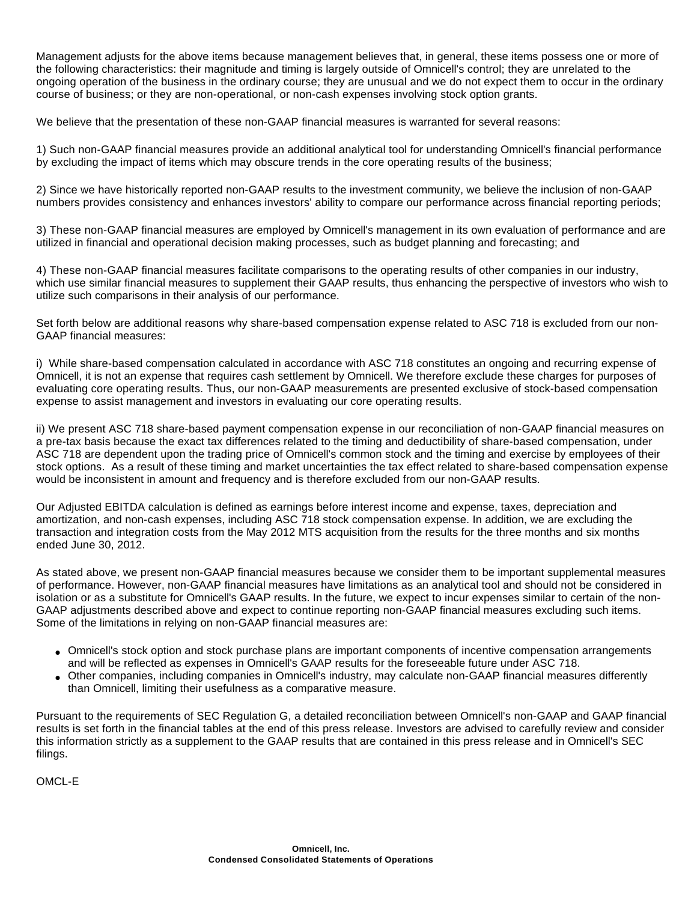Management adjusts for the above items because management believes that, in general, these items possess one or more of the following characteristics: their magnitude and timing is largely outside of Omnicell's control; they are unrelated to the ongoing operation of the business in the ordinary course; they are unusual and we do not expect them to occur in the ordinary course of business; or they are non-operational, or non-cash expenses involving stock option grants.

We believe that the presentation of these non-GAAP financial measures is warranted for several reasons:

1) Such non-GAAP financial measures provide an additional analytical tool for understanding Omnicell's financial performance by excluding the impact of items which may obscure trends in the core operating results of the business;

2) Since we have historically reported non-GAAP results to the investment community, we believe the inclusion of non-GAAP numbers provides consistency and enhances investors' ability to compare our performance across financial reporting periods;

3) These non-GAAP financial measures are employed by Omnicell's management in its own evaluation of performance and are utilized in financial and operational decision making processes, such as budget planning and forecasting; and

4) These non-GAAP financial measures facilitate comparisons to the operating results of other companies in our industry, which use similar financial measures to supplement their GAAP results, thus enhancing the perspective of investors who wish to utilize such comparisons in their analysis of our performance.

Set forth below are additional reasons why share-based compensation expense related to ASC 718 is excluded from our non-GAAP financial measures:

i) While share-based compensation calculated in accordance with ASC 718 constitutes an ongoing and recurring expense of Omnicell, it is not an expense that requires cash settlement by Omnicell. We therefore exclude these charges for purposes of evaluating core operating results. Thus, our non-GAAP measurements are presented exclusive of stock-based compensation expense to assist management and investors in evaluating our core operating results.

ii) We present ASC 718 share-based payment compensation expense in our reconciliation of non-GAAP financial measures on a pre-tax basis because the exact tax differences related to the timing and deductibility of share-based compensation, under ASC 718 are dependent upon the trading price of Omnicell's common stock and the timing and exercise by employees of their stock options. As a result of these timing and market uncertainties the tax effect related to share-based compensation expense would be inconsistent in amount and frequency and is therefore excluded from our non-GAAP results.

Our Adjusted EBITDA calculation is defined as earnings before interest income and expense, taxes, depreciation and amortization, and non-cash expenses, including ASC 718 stock compensation expense. In addition, we are excluding the transaction and integration costs from the May 2012 MTS acquisition from the results for the three months and six months ended June 30, 2012.

As stated above, we present non-GAAP financial measures because we consider them to be important supplemental measures of performance. However, non-GAAP financial measures have limitations as an analytical tool and should not be considered in isolation or as a substitute for Omnicell's GAAP results. In the future, we expect to incur expenses similar to certain of the non-GAAP adjustments described above and expect to continue reporting non-GAAP financial measures excluding such items. Some of the limitations in relying on non-GAAP financial measures are:

- Omnicell's stock option and stock purchase plans are important components of incentive compensation arrangements and will be reflected as expenses in Omnicell's GAAP results for the foreseeable future under ASC 718.
- Other companies, including companies in Omnicell's industry, may calculate non-GAAP financial measures differently than Omnicell, limiting their usefulness as a comparative measure.

Pursuant to the requirements of SEC Regulation G, a detailed reconciliation between Omnicell's non-GAAP and GAAP financial results is set forth in the financial tables at the end of this press release. Investors are advised to carefully review and consider this information strictly as a supplement to the GAAP results that are contained in this press release and in Omnicell's SEC filings.

OMCL-E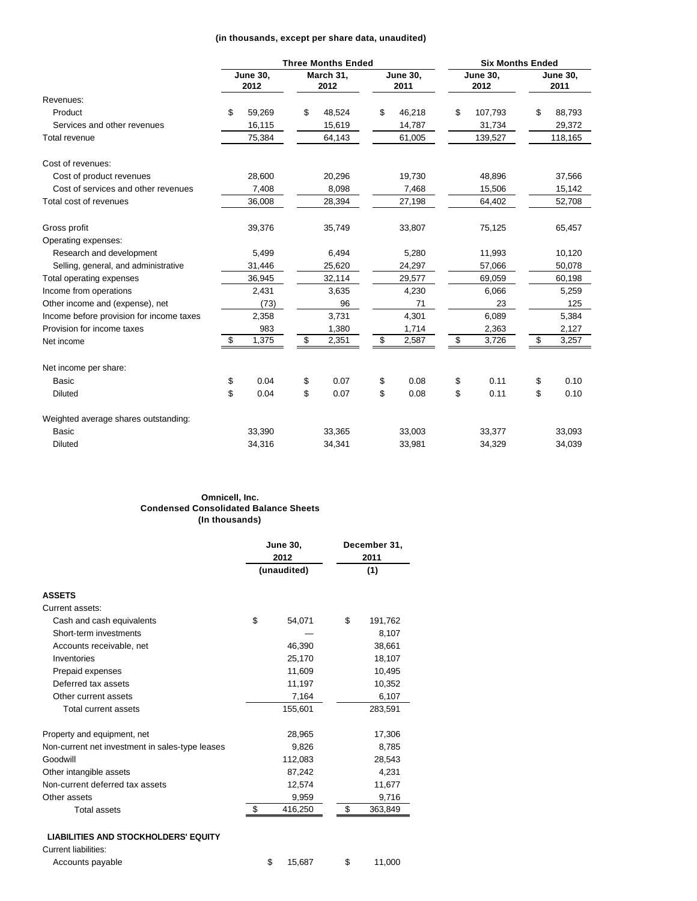### **(in thousands, except per share data, unaudited)**

|                                          |                         | <b>Three Months Ended</b> |                         | <b>Six Months Ended</b> |                         |
|------------------------------------------|-------------------------|---------------------------|-------------------------|-------------------------|-------------------------|
|                                          | <b>June 30,</b><br>2012 | March 31,<br>2012         | <b>June 30,</b><br>2011 | <b>June 30,</b><br>2012 | <b>June 30,</b><br>2011 |
| Revenues:                                |                         |                           |                         |                         |                         |
| Product                                  | \$<br>59,269            | \$<br>48,524              | \$<br>46,218            | \$<br>107,793           | \$<br>88,793            |
| Services and other revenues              | 16,115                  | 15,619                    | 14,787                  | 31,734                  | 29,372                  |
| Total revenue                            | 75,384                  | 64,143                    | 61,005                  | 139,527                 | 118,165                 |
| Cost of revenues:                        |                         |                           |                         |                         |                         |
| Cost of product revenues                 | 28,600                  | 20,296                    | 19,730                  | 48,896                  | 37,566                  |
| Cost of services and other revenues      | 7,408                   | 8,098                     | 7,468                   | 15,506                  | 15,142                  |
| Total cost of revenues                   | 36,008                  | 28,394                    | 27,198                  | 64,402                  | 52,708                  |
| Gross profit                             | 39,376                  | 35,749                    | 33,807                  | 75,125                  | 65,457                  |
| Operating expenses:                      |                         |                           |                         |                         |                         |
| Research and development                 | 5,499                   | 6,494                     | 5,280                   | 11,993                  | 10,120                  |
| Selling, general, and administrative     | 31,446                  | 25,620                    | 24,297                  | 57,066                  | 50,078                  |
| Total operating expenses                 | 36,945                  | 32,114                    | 29,577                  | 69,059                  | 60,198                  |
| Income from operations                   | 2,431                   | 3,635                     | 4,230                   | 6,066                   | 5,259                   |
| Other income and (expense), net          | (73)                    | 96                        | 71                      | 23                      | 125                     |
| Income before provision for income taxes | 2,358                   | 3,731                     | 4,301                   | 6,089                   | 5,384                   |
| Provision for income taxes               | 983                     | 1,380                     | 1,714                   | 2,363                   | 2,127                   |
| Net income                               | \$<br>1,375             | \$<br>2,351               | \$<br>2,587             | \$<br>3,726             | \$<br>3,257             |
| Net income per share:                    |                         |                           |                         |                         |                         |
| <b>Basic</b>                             | \$<br>0.04              | \$<br>0.07                | \$<br>0.08              | \$<br>0.11              | \$<br>0.10              |
| <b>Diluted</b>                           | \$<br>0.04              | \$<br>0.07                | \$<br>0.08              | \$<br>0.11              | \$<br>0.10              |
| Weighted average shares outstanding:     |                         |                           |                         |                         |                         |
| <b>Basic</b>                             | 33,390                  | 33,365                    | 33,003                  | 33,377                  | 33,093                  |
| <b>Diluted</b>                           | 34,316                  | 34.341                    | 33.981                  | 34,329                  | 34,039                  |

#### **Omnicell, Inc. Condensed Consolidated Balance Sheets (In thousands)**

|                                                                     | <b>June 30,</b><br>2012 | December 31,<br>2011 |
|---------------------------------------------------------------------|-------------------------|----------------------|
|                                                                     | (unaudited)             | (1)                  |
| <b>ASSETS</b>                                                       |                         |                      |
| Current assets:                                                     |                         |                      |
| Cash and cash equivalents                                           | \$<br>54,071            | \$<br>191,762        |
| Short-term investments                                              |                         | 8,107                |
| Accounts receivable, net                                            | 46,390                  | 38,661               |
| Inventories                                                         | 25,170                  | 18,107               |
| Prepaid expenses                                                    | 11,609                  | 10,495               |
| Deferred tax assets                                                 | 11,197                  | 10,352               |
| Other current assets                                                | 7,164                   | 6,107                |
| <b>Total current assets</b>                                         | 155,601                 | 283,591              |
| Property and equipment, net                                         | 28,965                  | 17,306               |
| Non-current net investment in sales-type leases                     | 9,826                   | 8,785                |
| Goodwill                                                            | 112,083                 | 28,543               |
| Other intangible assets                                             | 87,242                  | 4,231                |
| Non-current deferred tax assets                                     | 12,574                  | 11,677               |
| Other assets                                                        | 9,959                   | 9,716                |
| <b>Total assets</b>                                                 | \$<br>416,250           | \$<br>363,849        |
| <b>LIABILITIES AND STOCKHOLDERS' EQUITY</b><br>Current liabilities: |                         |                      |

| Accounts payable | \$ 15.687 | 11,000 |
|------------------|-----------|--------|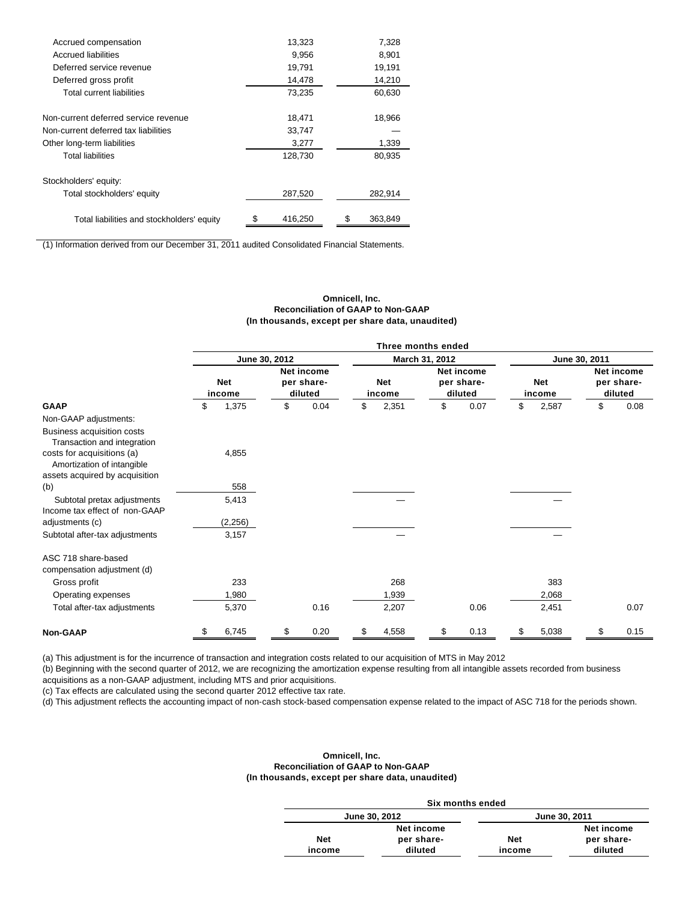| Accrued compensation                       | 13,323  | 7,328   |
|--------------------------------------------|---------|---------|
| Accrued liabilities                        | 9.956   | 8.901   |
| Deferred service revenue                   | 19.791  | 19.191  |
| Deferred gross profit                      | 14,478  | 14,210  |
| Total current liabilities                  | 73,235  | 60,630  |
| Non-current deferred service revenue       | 18,471  | 18,966  |
| Non-current deferred tax liabilities       | 33,747  |         |
| Other long-term liabilities                | 3,277   | 1,339   |
| <b>Total liabilities</b>                   | 128,730 | 80,935  |
| Stockholders' equity:                      |         |         |
| Total stockholders' equity                 | 287,520 | 282.914 |
| Total liabilities and stockholders' equity | 416,250 | 363,849 |

(1) Information derived from our December 31, 2011 audited Consolidated Financial Statements.

#### **Omnicell, Inc. Reconciliation of GAAP to Non-GAAP (In thousands, except per share data, unaudited)**

|                                                              |                      |               |                                            | Three months ended   |                |                                            |                      |               |                                     |
|--------------------------------------------------------------|----------------------|---------------|--------------------------------------------|----------------------|----------------|--------------------------------------------|----------------------|---------------|-------------------------------------|
|                                                              |                      | June 30, 2012 |                                            |                      | March 31, 2012 |                                            |                      | June 30, 2011 |                                     |
|                                                              | <b>Net</b><br>income |               | <b>Net income</b><br>per share-<br>diluted | <b>Net</b><br>income |                | <b>Net income</b><br>per share-<br>diluted | <b>Net</b><br>income |               | Net income<br>per share-<br>diluted |
| <b>GAAP</b>                                                  | \$<br>1,375          | \$            | 0.04                                       | \$<br>2,351          | \$             | 0.07                                       | \$<br>2,587          | \$            | 0.08                                |
| Non-GAAP adjustments:                                        |                      |               |                                            |                      |                |                                            |                      |               |                                     |
| Business acquisition costs<br>Transaction and integration    |                      |               |                                            |                      |                |                                            |                      |               |                                     |
| costs for acquisitions (a)<br>Amortization of intangible     | 4,855                |               |                                            |                      |                |                                            |                      |               |                                     |
| assets acquired by acquisition                               |                      |               |                                            |                      |                |                                            |                      |               |                                     |
| (b)                                                          | 558                  |               |                                            |                      |                |                                            |                      |               |                                     |
| Subtotal pretax adjustments<br>Income tax effect of non-GAAP | 5,413                |               |                                            |                      |                |                                            |                      |               |                                     |
| adjustments (c)                                              | (2, 256)             |               |                                            |                      |                |                                            |                      |               |                                     |
| Subtotal after-tax adjustments                               | 3,157                |               |                                            |                      |                |                                            |                      |               |                                     |
| ASC 718 share-based                                          |                      |               |                                            |                      |                |                                            |                      |               |                                     |
| compensation adjustment (d)                                  |                      |               |                                            |                      |                |                                            |                      |               |                                     |
| Gross profit                                                 | 233                  |               |                                            | 268                  |                |                                            | 383                  |               |                                     |
| Operating expenses                                           | 1,980                |               |                                            | 1,939                |                |                                            | 2,068                |               |                                     |
| Total after-tax adjustments                                  | 5,370                |               | 0.16                                       | 2,207                |                | 0.06                                       | 2,451                |               | 0.07                                |
| <b>Non-GAAP</b>                                              | 6,745                | \$            | 0.20                                       | 4,558                | S              | 0.13                                       | \$<br>5,038          | \$            | 0.15                                |

(a) This adjustment is for the incurrence of transaction and integration costs related to our acquisition of MTS in May 2012

(b) Beginning with the second quarter of 2012, we are recognizing the amortization expense resulting from all intangible assets recorded from business acquisitions as a non-GAAP adjustment, including MTS and prior acquisitions.

(c) Tax effects are calculated using the second quarter 2012 effective tax rate.

(d) This adjustment reflects the accounting impact of non-cash stock-based compensation expense related to the impact of ASC 718 for the periods shown.

#### **Omnicell, Inc. Reconciliation of GAAP to Non-GAAP (In thousands, except per share data, unaudited)**

| Six months ended<br>June 30, 2012<br>June 30, 2011<br>Net income<br>Net income<br>Net<br><b>Net</b> |            |        |            |  |  |  |  |  |
|-----------------------------------------------------------------------------------------------------|------------|--------|------------|--|--|--|--|--|
|                                                                                                     |            |        |            |  |  |  |  |  |
|                                                                                                     |            |        |            |  |  |  |  |  |
|                                                                                                     | per share- |        | per share- |  |  |  |  |  |
| income                                                                                              | diluted    | income | diluted    |  |  |  |  |  |